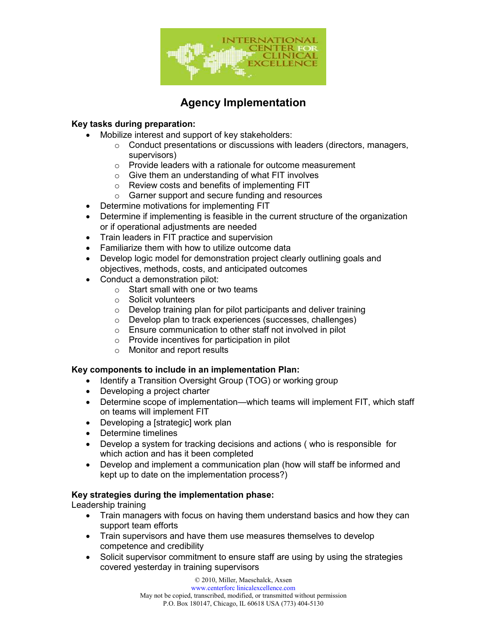

# **Agency Implementation**

### **Key tasks during preparation:**

- Mobilize interest and support of key stakeholders:
	- o Conduct presentations or discussions with leaders (directors, managers, supervisors)
	- $\circ$  Provide leaders with a rationale for outcome measurement
	- o Give them an understanding of what FIT involves
	- o Review costs and benefits of implementing FIT
	- o Garner support and secure funding and resources
- Determine motivations for implementing FIT
- Determine if implementing is feasible in the current structure of the organization or if operational adjustments are needed
- Train leaders in FIT practice and supervision
- Familiarize them with how to utilize outcome data
- Develop logic model for demonstration project clearly outlining goals and objectives, methods, costs, and anticipated outcomes
- Conduct a demonstration pilot:
	- o Start small with one or two teams
	- o Solicit volunteers
	- $\circ$  Develop training plan for pilot participants and deliver training
	- o Develop plan to track experiences (successes, challenges)
	- o Ensure communication to other staff not involved in pilot
	- $\circ$  Provide incentives for participation in pilot
	- o Monitor and report results

#### **Key components to include in an implementation Plan:**

- Identify a Transition Oversight Group (TOG) or working group
- Developing a project charter
- Determine scope of implementation—which teams will implement FIT, which staff on teams will implement FIT
- Developing a [strategic] work plan
- Determine timelines
- Develop a system for tracking decisions and actions ( who is responsible for which action and has it been completed
- Develop and implement a communication plan (how will staff be informed and kept up to date on the implementation process?)

#### **Key strategies during the implementation phase:**

Leadership training

- Train managers with focus on having them understand basics and how they can support team efforts
- Train supervisors and have them use measures themselves to develop competence and credibility
- Solicit supervisor commitment to ensure staff are using by using the strategies covered yesterday in training supervisors